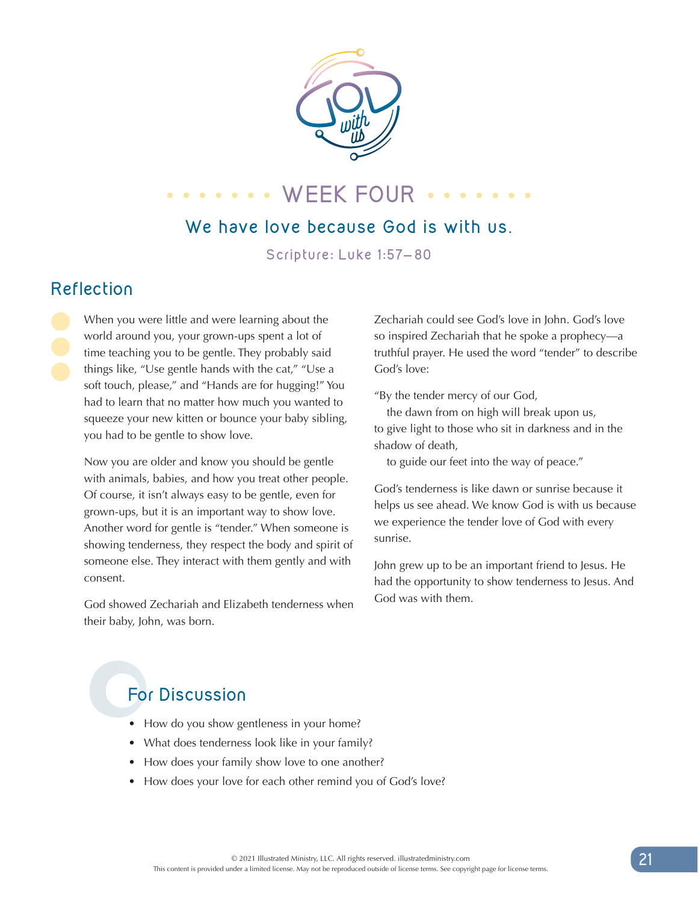

# **WEEK FOUR ....**

### **We have love because God is with us**.

**Scripture: Luke 1:57-80**

## **Reflection**

When you were little and were learning about the world around you, your grown-ups spent a lot of time teaching you to be gentle. They probably said things like, "Use gentle hands with the cat," "Use a soft touch, please," and "Hands are for hugging!" You had to learn that no matter how much you wanted to squeeze your new kitten or bounce your baby sibling, you had to be gentle to show love.

Now you are older and know you should be gentle with animals, babies, and how you treat other people. Of course, it isn't always easy to be gentle, even for grown-ups, but it is an important way to show love. Another word for gentle is "tender." When someone is showing tenderness, they respect the body and spirit of someone else. They interact with them gently and with consent.

God showed Zechariah and Elizabeth tenderness when their baby, John, was born.

Zechariah could see God's love in John. God's love so inspired Zechariah that he spoke a prophecy—a truthful prayer. He used the word "tender" to describe God's love:

"By the tender mercy of our God,

 the dawn from on high will break upon us, to give light to those who sit in darkness and in the shadow of death,

to guide our feet into the way of peace."

God's tenderness is like dawn or sunrise because it helps us see ahead. We know God is with us because we experience the tender love of God with every sunrise.

John grew up to be an important friend to Jesus. He had the opportunity to show tenderness to Jesus. And God was with them.

# **For Discussion**

- How do you show gentleness in your home?
- What does tenderness look like in your family?
- How does your family show love to one another?
- How does your love for each other remind you of God's love?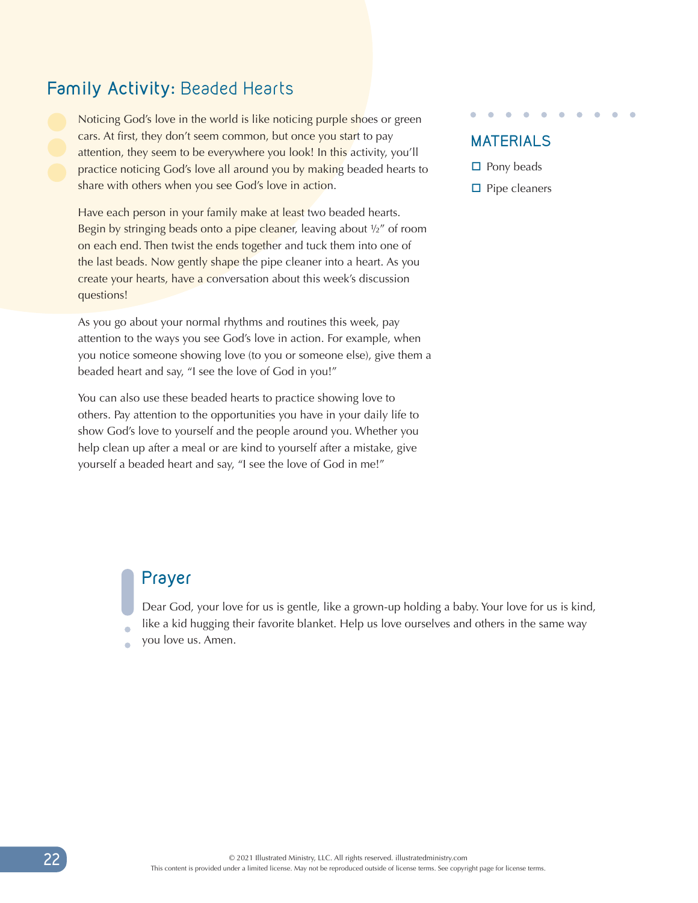## **Family Activity:** Beaded Hearts

Noticing God's love in the world is like noticing purple shoes or green cars. At first, they don't seem common, but once you start to pay attention, they seem to be everywhere you look! In this activity, you'll practice noticing God's love all around you by making beaded hearts to share with others when you see God's love in action.

Have each person in your family make at least two beaded hearts. Begin by stringing beads onto a pipe cleaner, leaving about ½" of room on each end. Then twist the ends together and tuck them into one of the last beads. Now gently shape the pipe cleaner into a heart. As you create your hearts, have a conversation about this week's discussion questions!

As you go about your normal rhythms and routines this week, pay attention to the ways you see God's love in action. For example, when you notice someone showing love (to you or someone else), give them a beaded heart and say, "I see the love of God in you!"

You can also use these beaded hearts to practice showing love to others. Pay attention to the opportunities you have in your daily life to show God's love to yourself and the people around you. Whether you help clean up after a meal or are kind to yourself after a mistake, give yourself a beaded heart and say, "I see the love of God in me!"

#### **MATERIALS**

- $\Box$  Pony beads
- $\square$  Pipe cleaners

#### **Prayer**

- Dear God, your love for us is gentle, like a grown-up holding a baby. Your love for us is kind,
- like a kid hugging their favorite blanket. Help us love ourselves and others in the same way
- you love us. Amen.